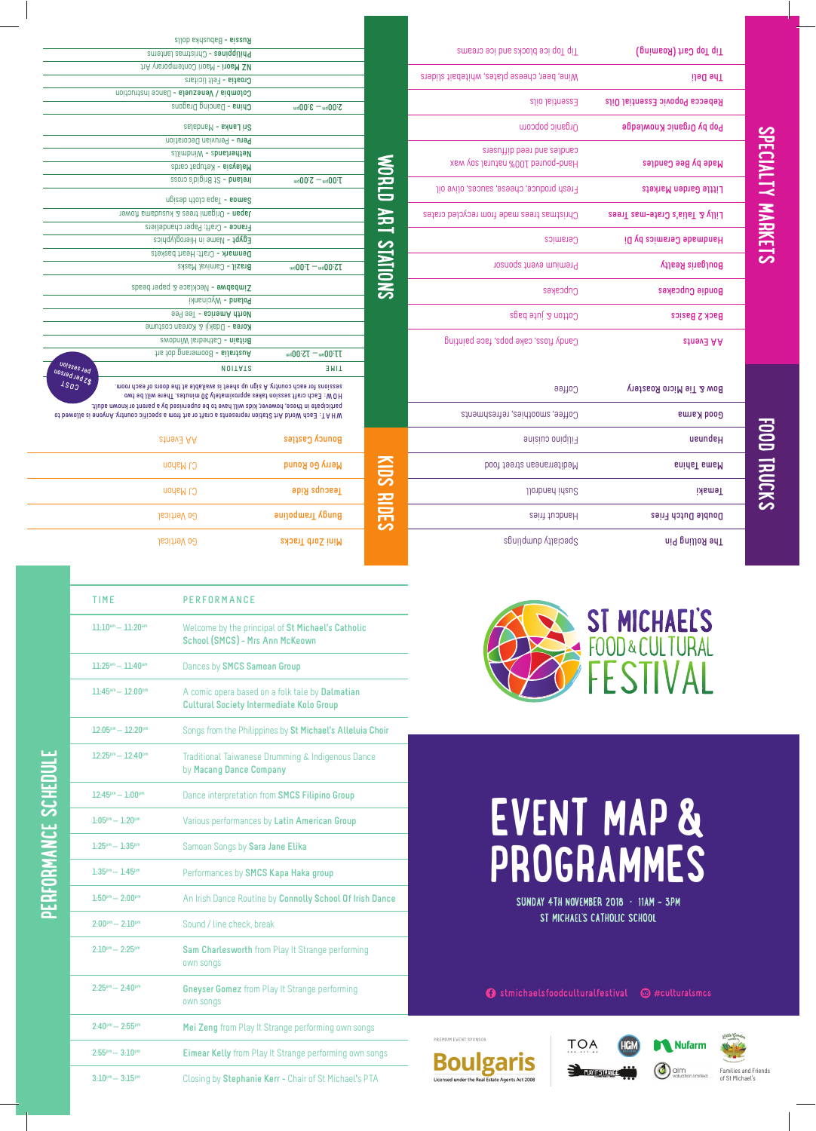|   |        | ı |   |
|---|--------|---|---|
|   |        |   |   |
|   | г<br>г |   | ٦ |
|   | г      |   | ٦ |
|   |        |   |   |
| г |        |   |   |
|   | г      |   | ٦ |
| г | г      |   | n |
|   | ٠<br>E |   |   |
|   | í<br>г |   |   |
|   | г<br>г |   |   |
|   | г      |   |   |
|   | ٦      |   |   |
|   |        |   |   |

 $\mathbf{S}$ 

| <b>Pow &amp; Tie Micro Roastery</b> | Coffee                          |
|-------------------------------------|---------------------------------|
| Good Karma                          | Coffee, smoothies, refreshments |
| <b>ueundeH</b>                      | Filipino cuisine                |
| snidsT smsM                         | boot tests needs tood           |
| <b>Temaki</b>                       | <b>JJonbuard idens</b>          |
| Double Dutch Fries                  | Handcut fries                   |
| The Rolling Pin                     | Speialty dumbling               |
|                                     |                                 |

| Tip Top Cart (Roaming)              | Tip Top ice blocks and ice creams                             |
|-------------------------------------|---------------------------------------------------------------|
| The Deli                            | Wine, beer, cheese plates, whitebait sliders                  |
| Repecca Popovic Essential Oils      | Essential oils                                                |
| Pop by Organic Knowledge            | Organic popcorn                                               |
| Made by Bee Candles                 | cappues substitutions and<br>Hand-poured 100% natural soy wax |
| Little Garden Markets               | Fresh produce, cheese, sauces, olive oil                      |
| Lilly & Talia's Crate-mas Trees     | Christmas trees made from recycled crates                     |
| id yd saimste Oppmanics by Di       | Ceramics                                                      |
| <b>Boulgaris Realty</b>             | Premium event sponsor                                         |
| Bondie Cupcakes                     | Cupcakes                                                      |
| <b>Back 2 Basics</b>                | Cotton & jute bags                                            |
| <b>atneva</b> AA                    | Caugh floss, cake pops, face painting                         |
|                                     |                                                               |
| <b>Pow &amp; Tie Micro Roastery</b> | Coffee                                                        |

| <b>Pow &amp; Tie Micro Roastery</b> | Coffee                          |
|-------------------------------------|---------------------------------|
| Good Karma                          | Coffee, smoothies, refreshments |
| <b>ueundeH</b>                      | Filipino cuisine                |
| snidsT smsM                         | boot tests neenstribeM          |
| <b>Temaki</b>                       | llonbnan inaugl                 |
| Double Dutch Fries                  | Handcut fries                   |
| The Rolling Pin                     | Speialty dumplings              |
|                                     |                                 |

| Russia - Babushka dolls                                                                                                                                                                                                                                                                                                                                                            |                                                               |
|------------------------------------------------------------------------------------------------------------------------------------------------------------------------------------------------------------------------------------------------------------------------------------------------------------------------------------------------------------------------------------|---------------------------------------------------------------|
| Philippines - Christmas lanterns                                                                                                                                                                                                                                                                                                                                                   |                                                               |
| hA visioqmetrod itosM - itosM SM                                                                                                                                                                                                                                                                                                                                                   |                                                               |
| Croatial + Felt licitars                                                                                                                                                                                                                                                                                                                                                           |                                                               |
| Colombia / Venezuela - Dance Instruction                                                                                                                                                                                                                                                                                                                                           |                                                               |
| China - Dancing Dragons                                                                                                                                                                                                                                                                                                                                                            | $S:00_{\rm{bu}}=3:00_{\rm{bu}}$                               |
| $s$ alabna $M - s$ andalas                                                                                                                                                                                                                                                                                                                                                         |                                                               |
| Peru - Peruvian Decoration                                                                                                                                                                                                                                                                                                                                                         |                                                               |
| allimbniW - abnahadtsM                                                                                                                                                                                                                                                                                                                                                             |                                                               |
| Malaysia - Ketupat cards                                                                                                                                                                                                                                                                                                                                                           |                                                               |
| Preland - St Brigid's cross                                                                                                                                                                                                                                                                                                                                                        | $T:00$ bw $T$ $T$                                             |
| Samoa - Tapa cloth design                                                                                                                                                                                                                                                                                                                                                          |                                                               |
| Iawolt smabuzux 2 seett imagit0 - neqsl.                                                                                                                                                                                                                                                                                                                                           |                                                               |
| France - Craft: Paper chandeliers                                                                                                                                                                                                                                                                                                                                                  |                                                               |
| Egypt - Name in Hieroglyphics                                                                                                                                                                                                                                                                                                                                                      |                                                               |
| Denmark - Craft: Heart baskets                                                                                                                                                                                                                                                                                                                                                     |                                                               |
| Brazil - Carnival Masks                                                                                                                                                                                                                                                                                                                                                            | <b>TS:00bw - T:00bw</b>                                       |
| Zimbabwe - Necklace & paper beads                                                                                                                                                                                                                                                                                                                                                  |                                                               |
| Poland - Wycinanki                                                                                                                                                                                                                                                                                                                                                                 |                                                               |
| North America - Tee Pee                                                                                                                                                                                                                                                                                                                                                            |                                                               |
| <b>Korea - Ddakji &amp; Korean costume</b>                                                                                                                                                                                                                                                                                                                                         |                                                               |
| Britain - Cathedral Windows                                                                                                                                                                                                                                                                                                                                                        |                                                               |
| his tob prison oo B - silist au A                                                                                                                                                                                                                                                                                                                                                  | $U = 00$ <sub>uu</sub> $U = 75$ <sup>0</sup> 00 <sub>bu</sub> |
| uoissas lad<br><b>NOITATS</b>                                                                                                                                                                                                                                                                                                                                                      | <b>TIME</b>                                                   |
| uosiad jad Z\$<br>moon doss to atoob sidt ts sldslisvs at teert a ungis A vitnuoo doss tot anoisas<br>OW: Each craft session takes approximately 30 minutes. There will be two<br>participate in these, however, kids will have to be supervised by a parent or known adult.<br>of bawolls ai snoynA yrfnuos sitisaga a mort fra to ffers a stnasangar noifst2 trA bhoW dsa3 :TAHW |                                                               |
| stnev3 AA                                                                                                                                                                                                                                                                                                                                                                          | Bouncy Castles                                                |
| CJ Mahon                                                                                                                                                                                                                                                                                                                                                                           | Merry Go Round                                                |
| CJ Mahon                                                                                                                                                                                                                                                                                                                                                                           | Teacups Ride                                                  |
| Go Vertical                                                                                                                                                                                                                                                                                                                                                                        | aunodwey <i>K</i> 6ung                                        |

**TIME PERFORMANCE**

**11:25am** – **11:40am** Dances by **SMCS Samoan Group**



| EVENT MAP &       |  |
|-------------------|--|
| <b>PROGRAMMES</b> |  |

SUNDAY 4TH NOVEMBER 2018 · 11AM - 3PM ST MICHAEL'S CATHOLIC SCHOOL

**●** stmichaelsfoodculturalfestival ● #culturalsmcs









PREMIUM EVENT SPONSOR **Boulgaris** Licensed under the R

|                                               | <b>Cultural Society Intermediate Kolo Group</b>                              |
|-----------------------------------------------|------------------------------------------------------------------------------|
| $12:05$ <sup>pm</sup> - $12:20$ <sup>pm</sup> | Songs from the Philippines by St Michael's Alleluia Choir                    |
| $12:25^{pm}-12:40^{pm}$                       | Traditional Taiwanese Drumming & Indigenous Dance<br>by Macang Dance Company |
| $12:45^{pm}-1:00^{pm}$                        | Dance interpretation from SMCS Filipino Group                                |
| $1.05$ pm $- 1.20$ pm                         | Various performances by Latin American Group                                 |
| $1:25^{pm}-1:35^{pm}$                         | Samoan Songs by Sara Jane Elika                                              |
| $1.35^{pm} - 1.45^{pm}$                       | Performances by SMCS Kapa Haka group                                         |
| $1:50^{\text{pm}} - 2:00^{\text{pm}}$         | An Irish Dance Routine by Connolly School Of Irish Dance                     |
| $2:00^{pm}-2:10^{pm}$                         | Sound / line check, break                                                    |
| $2:10^{pm}-2:25^{pm}$                         | Sam Charlesworth from Play It Strange performing<br>own songs                |
| $2:25^{pm}-2:40^{pm}$                         | <b>Gneyser Gomez</b> from Play It Strange performing<br>own songs            |
| $2:40^{pm}-2:55^{pm}$                         | Mei Zeng from Play It Strange performing own songs                           |
| $2:55^{pm}-3:10^{pm}$                         | <b>Eimear Kelly from Play It Strange performing own songs</b>                |
| $3:10^{pm}-3:15^{pm}$                         | Closing by Stephanie Kerr - Chair of St Michael's PTA                        |

**11:10am** – **11:20am** Welcome by the principal of **St Michael**'**s Catholic School (SMCS)** - **Mrs Ann McKeown**

Go Vertical **Mini Zorb Tracks**

**11:45am** – **12:00pm** A comic opera based on a folk tale by **Dalmatian**